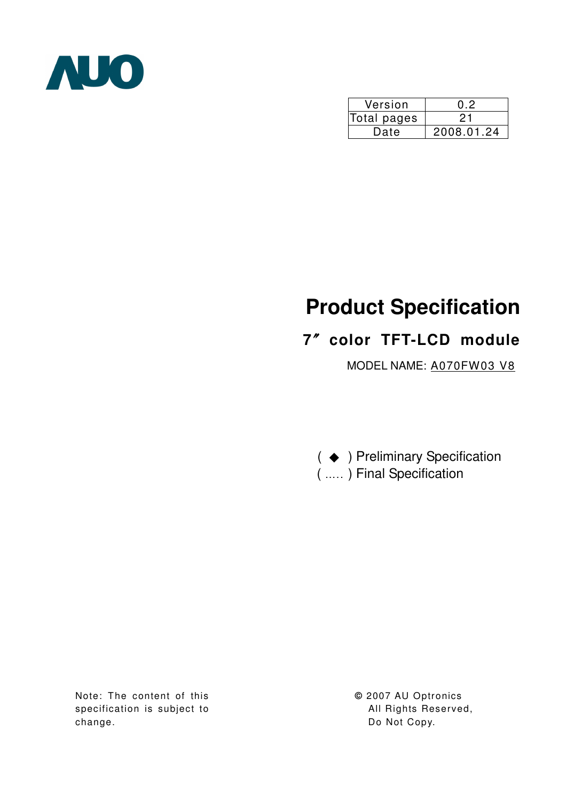

| Version     | ハツ         |
|-------------|------------|
| Total pages | ク1         |
| Date        | 2008.01.24 |

# **Product Specification**

# **7**ϛ**color TFT-LCD module**

MODEL NAME: A070FW03 V8

( ♦ ) Preliminary Specification ( ….. ) Final Specification

Note: The content of this specification is subject to change.

**©** 2007 AU Optronics All Rights Reserved, Do Not Copy.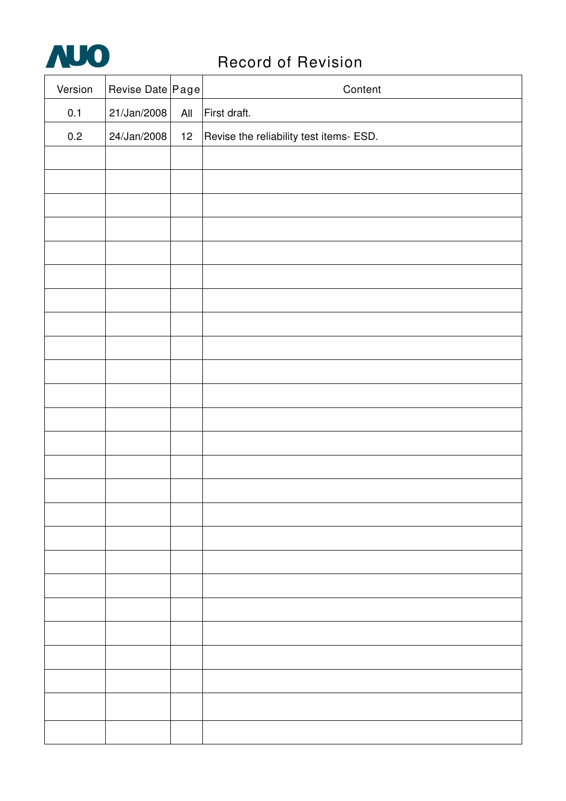

# **AUO** Record of Revision

| Version | Revise Date Page |                       | Content                                 |
|---------|------------------|-----------------------|-----------------------------------------|
| 0.1     | 21/Jan/2008      | $\mathsf{All}\xspace$ | First draft.                            |
| 0.2     | 24/Jan/2008      | $12 \overline{ }$     | Revise the reliability test items- ESD. |
|         |                  |                       |                                         |
|         |                  |                       |                                         |
|         |                  |                       |                                         |
|         |                  |                       |                                         |
|         |                  |                       |                                         |
|         |                  |                       |                                         |
|         |                  |                       |                                         |
|         |                  |                       |                                         |
|         |                  |                       |                                         |
|         |                  |                       |                                         |
|         |                  |                       |                                         |
|         |                  |                       |                                         |
|         |                  |                       |                                         |
|         |                  |                       |                                         |
|         |                  |                       |                                         |
|         |                  |                       |                                         |
|         |                  |                       |                                         |
|         |                  |                       |                                         |
|         |                  |                       |                                         |
|         |                  |                       |                                         |
|         |                  |                       |                                         |
|         |                  |                       |                                         |
|         |                  |                       |                                         |
|         |                  |                       |                                         |
|         |                  |                       |                                         |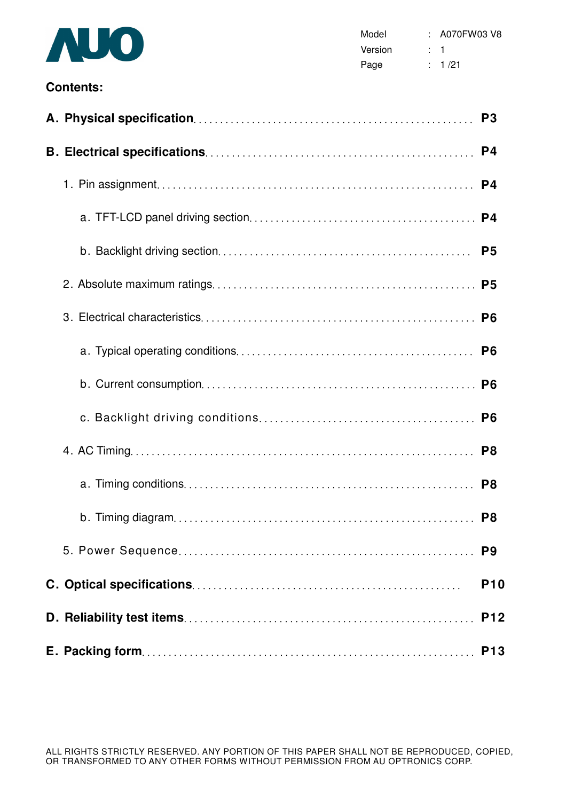

#### **Contents:**

|  | P <sub>3</sub> |
|--|----------------|
|  |                |
|  | P <sub>4</sub> |
|  |                |
|  | P <sub>5</sub> |
|  |                |
|  |                |
|  |                |
|  |                |
|  | P <sub>6</sub> |
|  | P <sub>8</sub> |
|  | P <sub>8</sub> |
|  |                |
|  |                |
|  | <b>P10</b>     |
|  | <b>P12</b>     |
|  |                |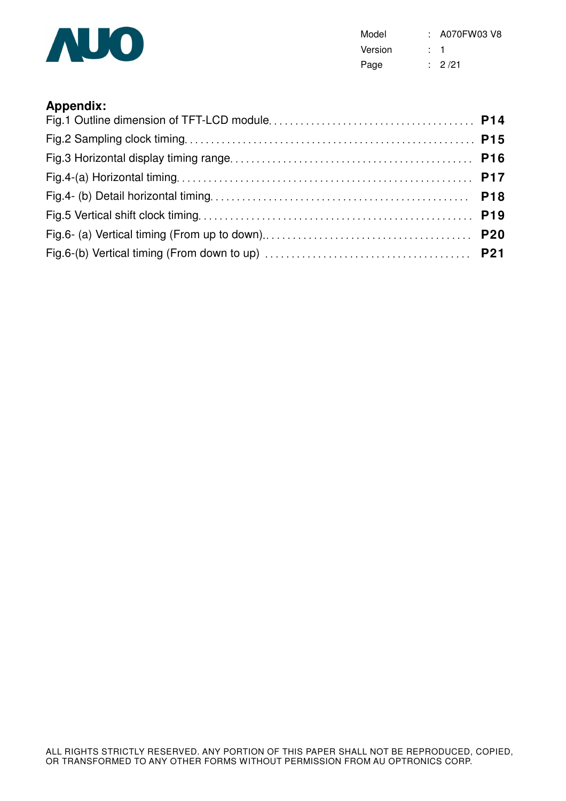

Model : A070FW03 V8 Version : 1 Page : 2/21

### **Appendix:**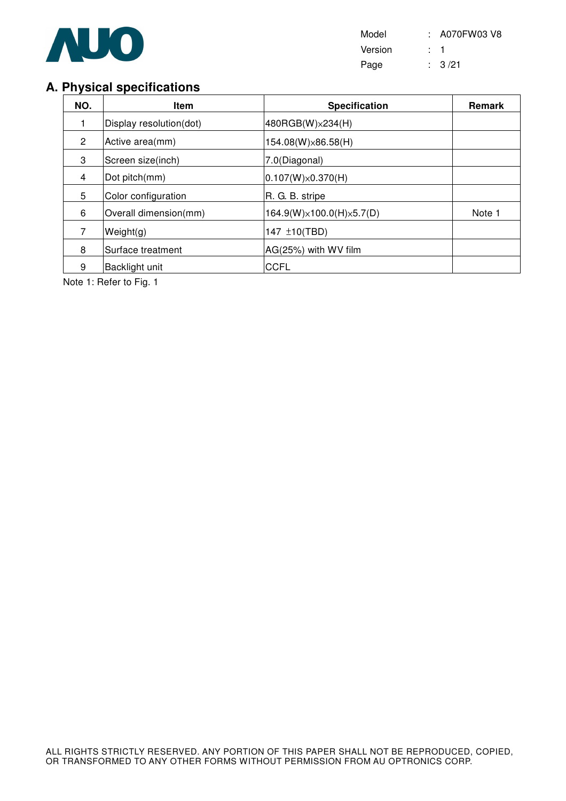

Model : A070FW03 V8 Version : 1 Page : 3/21

# **A. Physical specifications**

| NO.            | <b>Item</b>             | <b>Specification</b>                   | Remark |
|----------------|-------------------------|----------------------------------------|--------|
|                | Display resolution(dot) | 480RGB(W) × 234(H)                     |        |
| $\overline{2}$ | Active area(mm)         | 154.08(W)×86.58(H)                     |        |
| 3              | Screen size(inch)       | 7.0(Diagonal)                          |        |
| 4              | Dot pitch(mm)           | $0.107(W)\times 0.370(H)$              |        |
| 5              | Color configuration     | R. G. B. stripe                        |        |
| 6              | Overall dimension(mm)   | $164.9(W)\times 100.0(H)\times 5.7(D)$ | Note 1 |
| 7              | Weight(g)               | 147 ±10(TBD)                           |        |
| 8              | Surface treatment       | AG(25%) with WV film                   |        |
| 9              | Backlight unit          | <b>CCFL</b>                            |        |

Note 1: Refer to Fig. 1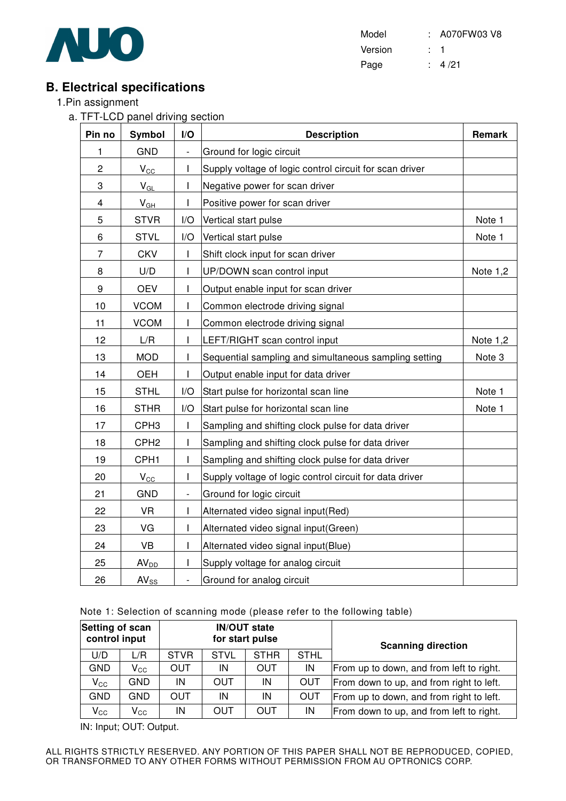

Model : A070FW03 V8 Version : 1 Page : 4/21

# **B. Electrical specifications**

- 1.Pin assignment
	- a. TFT-LCD panel driving section

| Pin no         | Symbol           | I/O                      | <b>Description</b>                                      | Remark     |
|----------------|------------------|--------------------------|---------------------------------------------------------|------------|
| 1              | <b>GND</b>       | $\blacksquare$           | Ground for logic circuit                                |            |
| $\overline{c}$ | $V_{\rm CC}$     | I                        | Supply voltage of logic control circuit for scan driver |            |
| 3              | $V_{GL}$         | I                        | Negative power for scan driver                          |            |
| 4              | $V_{GH}$         | T                        | Positive power for scan driver                          |            |
| 5              | <b>STVR</b>      | I/O                      | Vertical start pulse                                    | Note 1     |
| 6              | <b>STVL</b>      | I/O                      | Vertical start pulse                                    | Note 1     |
| 7              | <b>CKV</b>       |                          | Shift clock input for scan driver                       |            |
| 8              | U/D              | T                        | UP/DOWN scan control input                              | Note $1,2$ |
| 9              | <b>OEV</b>       | T                        | Output enable input for scan driver                     |            |
| 10             | <b>VCOM</b>      | I                        | Common electrode driving signal                         |            |
| 11             | <b>VCOM</b>      | I                        | Common electrode driving signal                         |            |
| 12             | L/R              | I                        | LEFT/RIGHT scan control input                           | Note 1,2   |
| 13             | <b>MOD</b>       | I                        | Sequential sampling and simultaneous sampling setting   | Note 3     |
| 14             | <b>OEH</b>       | $\mathbf{I}$             | Output enable input for data driver                     |            |
| 15             | <b>STHL</b>      | I/O                      | Start pulse for horizontal scan line                    | Note 1     |
| 16             | <b>STHR</b>      | I/O                      | Start pulse for horizontal scan line                    | Note 1     |
| 17             | CPH <sub>3</sub> | $\mathsf I$              | Sampling and shifting clock pulse for data driver       |            |
| 18             | CPH <sub>2</sub> | $\mathsf{I}$             | Sampling and shifting clock pulse for data driver       |            |
| 19             | CPH <sub>1</sub> | I                        | Sampling and shifting clock pulse for data driver       |            |
| 20             | $V_{\rm CC}$     | I                        | Supply voltage of logic control circuit for data driver |            |
| 21             | <b>GND</b>       | $\overline{\phantom{a}}$ | Ground for logic circuit                                |            |
| 22             | <b>VR</b>        | T                        | Alternated video signal input(Red)                      |            |
| 23             | VG               | I                        | Alternated video signal input(Green)                    |            |
| 24             | VB               | I                        | Alternated video signal input(Blue)                     |            |
| 25             | AV <sub>DD</sub> | I                        | Supply voltage for analog circuit                       |            |
| 26             | $AV_{SS}$        | $\qquad \qquad -$        | Ground for analog circuit                               |            |

#### Note 1: Selection of scanning mode (please refer to the following table)

| Setting of scan<br>control input |                            |             |             | <b>IN/OUT state</b><br>for start pulse |             | <b>Scanning direction</b>                |  |
|----------------------------------|----------------------------|-------------|-------------|----------------------------------------|-------------|------------------------------------------|--|
| U/D                              | L/R                        | <b>STVR</b> | <b>STVL</b> | <b>STHR</b>                            | <b>STHL</b> |                                          |  |
| <b>GND</b>                       | $V_{\rm CC}$               | OUT         | IN          | OUT                                    | IN          | From up to down, and from left to right. |  |
| $V_{\rm CC}$                     | GND                        | ΙN          | OUT         | IN                                     | <b>OUT</b>  | From down to up, and from right to left. |  |
| <b>GND</b>                       | GND                        | OUT         | IN          | IN                                     | <b>OUT</b>  | From up to down, and from right to left. |  |
| $V_{\rm CC}$                     | $\mathsf{V}_{\mathsf{CC}}$ | ΙN          | OUT         | OUT                                    | IN          | From down to up, and from left to right. |  |

IN: Input; OUT: Output.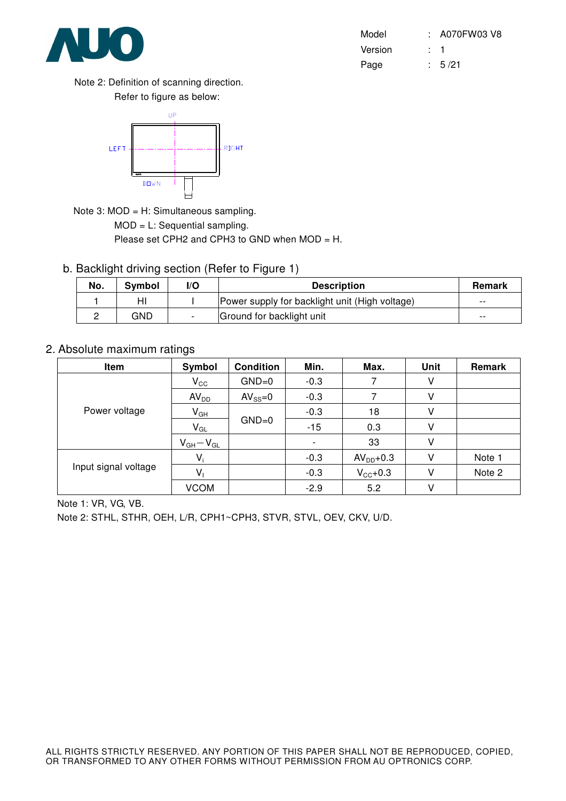

| Model   | : A070FW03 V8 |
|---------|---------------|
| Version |               |
| Page    | : 5/21        |

Note 2: Definition of scanning direction. Refer to figure as below:



Note 3: MOD = H: Simultaneous sampling.

MOD = L: Sequential sampling.

Please set CPH2 and CPH3 to GND when MOD = H.

b. Backlight driving section (Refer to Figure 1)

| No. | Symbol | I/O | <b>Description</b>                             | <b>Remark</b> |
|-----|--------|-----|------------------------------------------------|---------------|
|     | HI     |     | Power supply for backlight unit (High voltage) | $- -$         |
|     | GND    |     | Ground for backlight unit                      | $- -$         |

#### 2. Absolute maximum ratings

| Item                 | Symbol           | <b>Condition</b> | Min.   | Max.                | <b>Unit</b> | Remark |
|----------------------|------------------|------------------|--------|---------------------|-------------|--------|
|                      | $V_{\rm CC}$     | $GND=0$          | $-0.3$ |                     | ٧           |        |
|                      | AV <sub>DD</sub> | $AV_{SS}=0$      | $-0.3$ |                     | V           |        |
| Power voltage        | $V_{GH}$         |                  | $-0.3$ | 18                  | V           |        |
|                      | $V_{GL}$         | $GND=0$          | $-15$  | 0.3                 | V           |        |
|                      | $V_{GH}-V_{GL}$  |                  |        | 33                  | V           |        |
|                      | $V_i$            |                  | $-0.3$ | $AVDD+0.3$          | V           | Note 1 |
| Input signal voltage | V,               |                  | $-0.3$ | $V_{\text{CC}}+0.3$ | v           | Note 2 |
|                      | <b>VCOM</b>      |                  | $-2.9$ | 5.2                 |             |        |

Note 1: VR, VG, VB.

Note 2: STHL, STHR, OEH, L/R, CPH1~CPH3, STVR, STVL, OEV, CKV, U/D.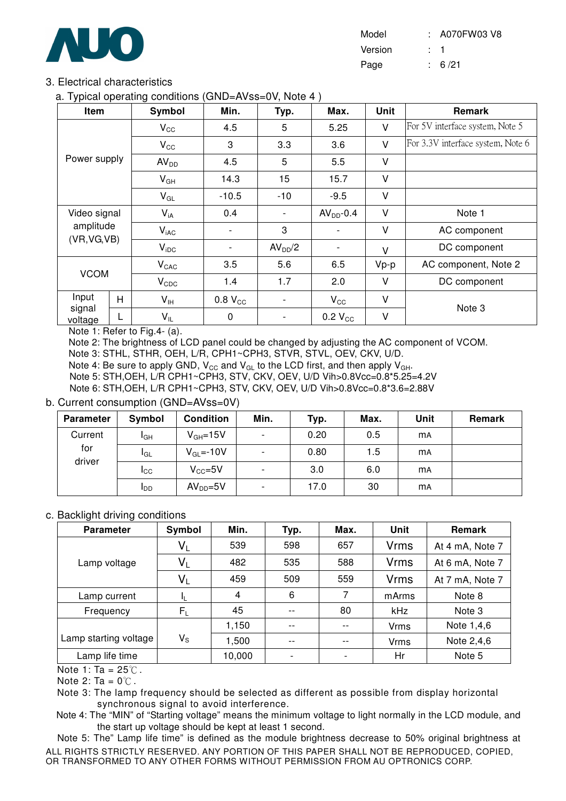

| Model   | : A070FW03 V8 |
|---------|---------------|
| Version |               |
| Page    | : 6/21        |

#### 3. Electrical characteristics

a. Typical operating conditions (GND=AVss=0V, Note 4 )

| Item              |   | Symbol           | Min.                     | Typ.                | Max.         | Unit   | <b>Remark</b>                     |
|-------------------|---|------------------|--------------------------|---------------------|--------------|--------|-----------------------------------|
|                   |   | $V_{\rm CC}$     | 4.5                      | 5                   | 5.25         | $\vee$ | For 5V interface system, Note 5   |
|                   |   | $V_{\rm CC}$     | 3                        | 3.3                 | 3.6          | $\vee$ | For 3.3V interface system, Note 6 |
| Power supply      |   | AV <sub>DD</sub> | 4.5                      | 5                   | 5.5          | V      |                                   |
|                   |   | $V_{GH}$         |                          | 15                  | 15.7         | V      |                                   |
|                   |   | $V_{GL}$         | $-10.5$                  | $-10$               | $-9.5$       | V      |                                   |
| Video signal      |   | $V_{iA}$         | 0.4                      |                     | $AVDD-0.4$   | V      | Note 1                            |
| amplitude         |   | $V_{iAC}$        | $\overline{\phantom{0}}$ | 3                   |              | V      | AC component                      |
| (VR, VG, VB)      |   | $V_{\text{IDC}}$ |                          | AV <sub>DD</sub> /2 |              | V      | DC component                      |
|                   |   | $V_{CAC}$        | 3.5                      | 5.6                 | 6.5          | $Vp-p$ | AC component, Note 2              |
| <b>VCOM</b>       |   | $V_{CDC}$        | 1.4                      | 1.7                 | 2.0          | V      | DC component                      |
| Input             | H | $V_{\text{IH}}$  | 0.8 V <sub>CC</sub>      |                     | $V_{\rm CC}$ | V      |                                   |
| signal<br>voltage | L | $V_{IL}$         | 0                        |                     | $0.2 V_{CC}$ | V      | Note 3                            |

Note 1: Refer to Fig.4- (a).

Note 2: The brightness of LCD panel could be changed by adjusting the AC component of VCOM.

Note 3: STHL, STHR, OEH, L/R, CPH1~CPH3, STVR, STVL, OEV, CKV, U/D.

Note 4: Be sure to apply GND,  $V_{\text{CC}}$  and  $V_{\text{GL}}$  to the LCD first, and then apply  $V_{\text{GH}}$ .

Note 5: STH,OEH, L/R CPH1~CPH3, STV, CKV, OEV, U/D Vih>0.8Vcc=0.8\*5.25=4.2V

Note 6: STH,OEH, L/R CPH1~CPH3, STV, CKV, OEV, U/D Vih>0.8Vcc=0.8\*3.6=2.88V

#### b. Current consumption (GND=AVss=0V)

| <b>Parameter</b> | Symbol          | <b>Condition</b> | Min.                     | Typ. | Max. | Unit      | <b>Remark</b> |
|------------------|-----------------|------------------|--------------------------|------|------|-----------|---------------|
| Current          | I <sub>GH</sub> | $V_{GH} = 15V$   |                          | 0.20 | 0.5  | <b>MA</b> |               |
| for              | <b>I</b> GL     | $V_{GL} = -10V$  | $\overline{\phantom{a}}$ | 0.80 | 1.5  | <b>mA</b> |               |
| driver           | $_{\rm{lcc}}$   | $V_{CC} = 5V$    | $\overline{\phantom{0}}$ | 3.0  | 6.0  | <b>MA</b> |               |
|                  | ldd             | $AVDD=5V$        |                          | 17.0 | 30   | <b>MA</b> |               |

#### c. Backlight driving conditions

| <b>Parameter</b>      | Symbol      | Min.   | Typ.  | Max.  | Unit        | Remark          |
|-----------------------|-------------|--------|-------|-------|-------------|-----------------|
|                       | $V_L$       | 539    | 598   | 657   | <b>Vrms</b> | At 4 mA, Note 7 |
| Lamp voltage          | $V_L$       | 482    | 535   | 588   | <b>Vrms</b> | At 6 mA, Note 7 |
|                       | $V_L$       | 459    | 509   | 559   | <b>Vrms</b> | At 7 mA, Note 7 |
| Lamp current          | -lL         | 4      | 6     |       | mArms       | Note 8          |
| Frequency             | $F_L$       | 45     | $- -$ | 80    | kHz         | Note 3          |
|                       |             | 1,150  | $- -$ | $- -$ | Vrms        | Note 1,4,6      |
| Lamp starting voltage | $V_{\rm S}$ | 1,500  | $ -$  | $- -$ | Vrms        | Note 2,4,6      |
| Lamp life time        |             | 10,000 |       |       | Hr          | Note 5          |

Note 1: Ta =  $25^{\circ}$ C.

Note 2: Ta =  $0^{\circ}$ C.

Note 3: The lamp frequency should be selected as different as possible from display horizontal synchronous signal to avoid interference.

Note 4: The "MIN" of "Starting voltage" means the minimum voltage to light normally in the LCD module, and the start up voltage should be kept at least 1 second.

ALL RIGHTS STRICTLY RESERVED. ANY PORTION OF THIS PAPER SHALL NOT BE REPRODUCED, COPIED, OR TRANSFORMED TO ANY OTHER FORMS WITHOUT PERMISSION FROM AU OPTRONICS CORP. Note 5: The" Lamp life time" is defined as the module brightness decrease to 50% original brightness at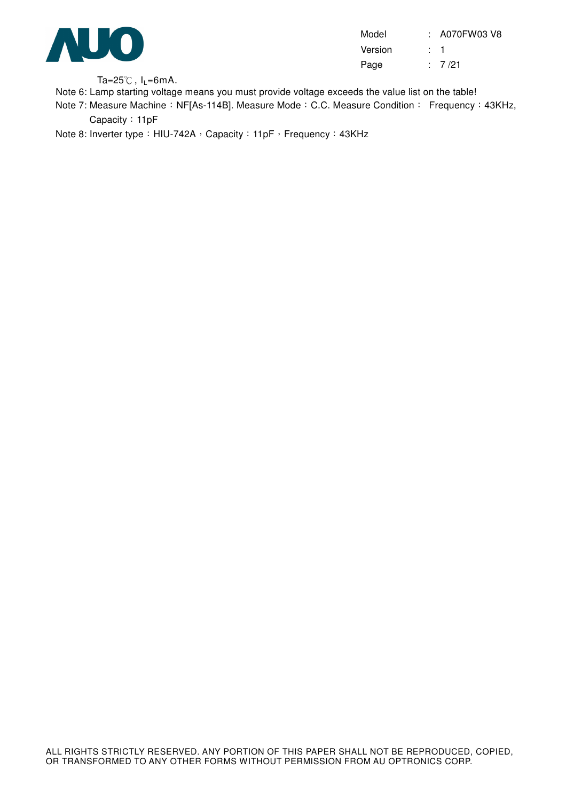

Model : A070FW03 V8 Version : 1 Page : 7/21

Ta=25 $\degree$ C, I<sub>L</sub>=6mA.

Note 6: Lamp starting voltage means you must provide voltage exceeds the value list on the table!

Note 7: Measure Machine: NF[As-114B]. Measure Mode: C.C. Measure Condition: Frequency: 43KHz, Capacity: 11pF

Note 8: Inverter type: HIU-742A, Capacity: 11pF, Frequency: 43KHz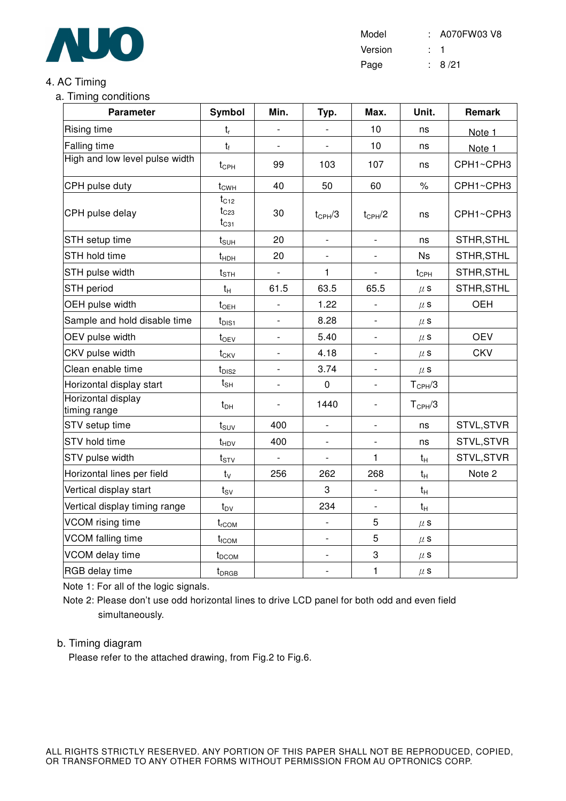

Model : A070FW03 V8 Version : 1 Page : 8/21

### 4. AC Timing

a. Timing conditions

| <b>Parameter</b>                   | Symbol                              | Min.                     | Typ.                     | Max.                     | Unit.              | Remark     |
|------------------------------------|-------------------------------------|--------------------------|--------------------------|--------------------------|--------------------|------------|
| Rising time                        | $t_{r}$                             |                          |                          | 10                       | ns                 | Note 1     |
| <b>Falling time</b>                | $t_{f}$                             |                          |                          | 10                       | ns                 | Note 1     |
| High and low level pulse width     | $t_{\text{CPH}}$                    | 99                       | 103                      | 107                      | ns                 | CPH1~CPH3  |
| CPH pulse duty                     | $t_{CWH}$                           | 40                       | 50                       | 60                       | $\%$               | CPH1~CPH3  |
| CPH pulse delay                    | $t_{C12}$<br>$t_{C23}$<br>$t_{C31}$ | 30                       | $t_{CPH}/3$              | $t_{CPH}/2$              | ns                 | CPH1~CPH3  |
| STH setup time                     | $t_{\text{SUH}}$                    | 20                       | $\overline{\phantom{a}}$ | $\overline{\phantom{a}}$ | ns                 | STHR, STHL |
| STH hold time                      | $t_{HDH}$                           | 20                       |                          |                          | <b>Ns</b>          | STHR, STHL |
| STH pulse width                    | $t_{\text{STH}}$                    | $\blacksquare$           | $\mathbf{1}$             | $\blacksquare$           | $t_{\text{CPH}}$   | STHR, STHL |
| <b>STH period</b>                  | $t_{H}$                             | 61.5                     | 63.5                     | 65.5                     | $\mu$ S            | STHR, STHL |
| OEH pulse width                    | $t_{\text{OEH}}$                    | $\overline{\phantom{a}}$ | 1.22                     | $\blacksquare$           | $\mu$ s            | <b>OEH</b> |
| Sample and hold disable time       | $t_{\text{DIS1}}$                   | $\overline{\phantom{a}}$ | 8.28                     |                          | $\mu$ s            |            |
| OEV pulse width                    | $t_{OEV}$                           | $\overline{\phantom{a}}$ | 5.40                     | $\overline{\phantom{a}}$ | $\mu$ s            | <b>OEV</b> |
| CKV pulse width                    | $t_{CKV}$                           |                          | 4.18                     |                          | $\mu$ s            | <b>CKV</b> |
| Clean enable time                  | $t_{DIS2}$                          |                          | 3.74                     |                          | $\mu$ s            |            |
| Horizontal display start           | $t_{\text{SH}}$                     |                          | $\pmb{0}$                |                          | $T_{\text{CPH}}/3$ |            |
| Horizontal display<br>timing range | $t_{DH}$                            | $\overline{\phantom{a}}$ | 1440                     |                          | $T_{\text{CPH}}/3$ |            |
| STV setup time                     | $t_{\scriptstyle\text{SUV}}$        | 400                      | $\overline{\phantom{a}}$ | $\blacksquare$           | ns                 | STVL, STVR |
| STV hold time                      | $t_{HDV}$                           | 400                      |                          |                          | ns                 | STVL, STVR |
| STV pulse width                    | $t_{STV}$                           | $\blacksquare$           | $\blacksquare$           | 1                        | $t_{H}$            | STVL, STVR |
| Horizontal lines per field         | $t_{\rm V}$                         | 256                      | 262                      | 268                      | $t_H$              | Note 2     |
| Vertical display start             | $t_{SV}$                            |                          | 3                        | $\overline{\phantom{a}}$ | $t_H$              |            |
| Vertical display timing range      | $t_{\text{DV}}$                     |                          | 234                      |                          | $t_H$              |            |
| VCOM rising time                   | $t_{rCOM}$                          |                          | $\overline{\phantom{a}}$ | 5                        | $\mu$ s            |            |
| VCOM falling time                  | $t_{\rm fCOM}$                      |                          |                          | 5                        | $\mu$ s            |            |
| VCOM delay time                    | t <sub>DCOM</sub>                   |                          | $\overline{\phantom{a}}$ | 3                        | $\mu$ S            |            |
| RGB delay time                     | $t_{DRGB}$                          |                          | $\overline{\phantom{a}}$ | $\mathbf{1}$             | $\mu$ s            |            |

Note 1: For all of the logic signals.

Note 2: Please don't use odd horizontal lines to drive LCD panel for both odd and even field simultaneously.

#### b. Timing diagram

Please refer to the attached drawing, from Fig.2 to Fig.6.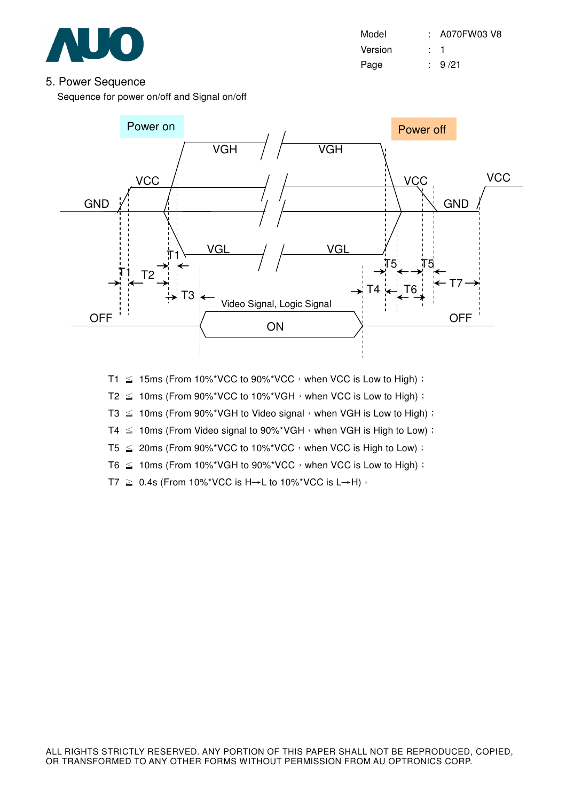

Model : A070FW03 V8 Version : 1 Page : 9/21

#### 5. Power Sequence

Sequence for power on/off and Signal on/off



- T1  $\leq$  15ms (From 10%\*VCC to 90%\*VCC, when VCC is Low to High) :
- T2  $\leq$  10ms (From 90%\*VCC to 10%\*VGH  $\cdot$  when VCC is Low to High) :
- T3  $\leq$  10ms (From 90%\*VGH to Video signal, when VGH is Low to High) :
- T4  $\leq$  10ms (From Video signal to 90%\*VGH, when VGH is High to Low) :
- $T5 \leq 20$ ms (From 90%\*VCC to 10%\*VCC, when VCC is High to Low) :
- T6  $\leq$  10ms (From 10%\*VGH to 90%\*VCC, when VCC is Low to High) :
- T7  $\geq$  0.4s (From 10%\*VCC is H $\rightarrow$ L to 10%\*VCC is L $\rightarrow$ H)  $\cdot$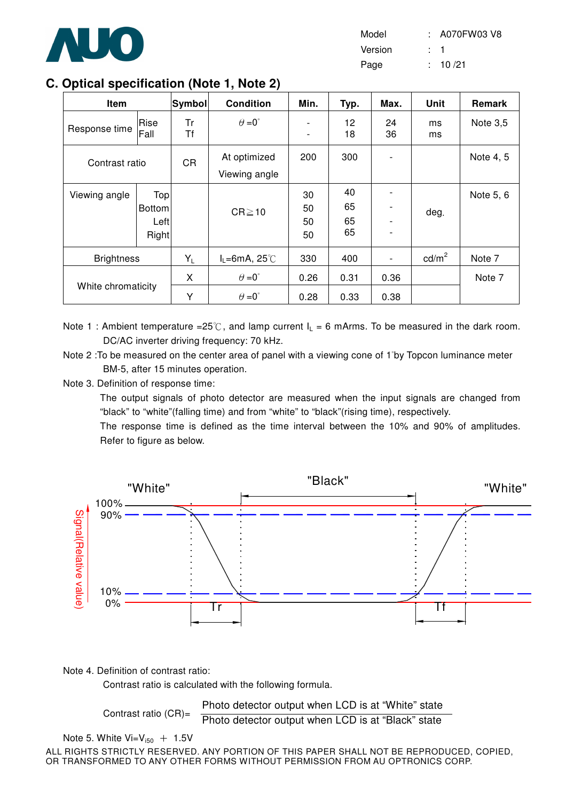

| Model   | : A070FW03 V8 |
|---------|---------------|
| Version |               |
| Page    | : 10/21       |

# **C. Optical specification (Note 1, Note 2)**

| Item               |                                       | $ S$ ymbol $ $ | <b>Condition</b>                             | Min.                          | Typ.                 | Max.         | Unit            | Remark     |
|--------------------|---------------------------------------|----------------|----------------------------------------------|-------------------------------|----------------------|--------------|-----------------|------------|
| Response time      | Rise<br>Fall                          | Tr<br>Τf       | $\theta = 0^{\circ}$                         | -<br>$\overline{\phantom{a}}$ | 12<br>18             | 24<br>36     | ms<br>ms        | Note $3,5$ |
| Contrast ratio     |                                       | <b>CR</b>      | At optimized<br>Viewing angle                | 200                           | 300                  |              |                 | Note 4, 5  |
| Viewing angle      | Top<br>Bottom<br>Left<br><b>Right</b> |                | $CR \ge 10$                                  | 30<br>50<br>50<br>50          | 40<br>65<br>65<br>65 |              | deg.            | Note 5, 6  |
| <b>Brightness</b>  |                                       | $Y_L$          | $I_L = 6mA$ , 25°C                           | 330                           | 400                  |              | $\text{cd/m}^2$ | Note 7     |
| White chromaticity |                                       | X<br>Υ         | $\theta = 0^{\circ}$<br>$\theta = 0^{\circ}$ | 0.26<br>0.28                  | 0.31<br>0.33         | 0.36<br>0.38 |                 | Note 7     |

Note 1 : Ambient temperature =25°C, and lamp current  $I_L = 6$  mArms. To be measured in the dark room. DC/AC inverter driving frequency: 70 kHz.

Note 2 : To be measured on the center area of panel with a viewing cone of 1<sup>°</sup>by Topcon luminance meter BM-5, after 15 minutes operation.

Note 3. Definition of response time:

The output signals of photo detector are measured when the input signals are changed from "black" to "white"(falling time) and from "white" to "black"(rising time), respectively.

The response time is defined as the time interval between the 10% and 90% of amplitudes. Refer to figure as below.



Note 4. Definition of contrast ratio:

Contrast ratio is calculated with the following formula.

```
Contrast ratio (CR)=
```
Photo detector output when LCD is at "White" state Photo detector output when LCD is at "Black" state

```
Note 5. White Vi=V_{150} + 1.5V
```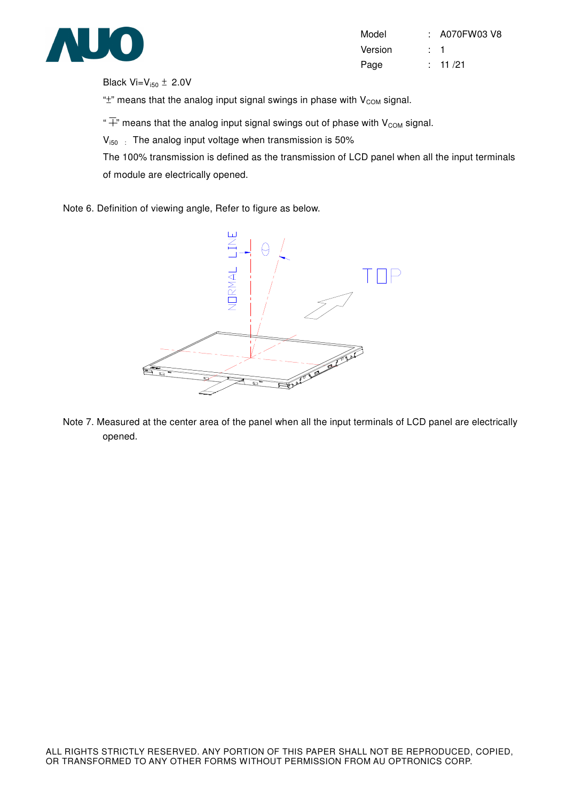

| Model   | $:$ A070FW03 V8 |
|---------|-----------------|
| Version | : 1             |
| Page    | : 11/21         |

Black  $Vi=V_{i50}$   $\pm$  2.0V

" $\pm$ " means that the analog input signal swings in phase with  $V_{COM}$  signal.

" $\overline{+}$ " means that the analog input signal swings out of phase with V<sub>COM</sub> signal.

 $V_{150}$ : The analog input voltage when transmission is 50%

The 100% transmission is defined as the transmission of LCD panel when all the input terminals of module are electrically opened.

Note 6. Definition of viewing angle, Refer to figure as below.



Note 7. Measured at the center area of the panel when all the input terminals of LCD panel are electrically opened.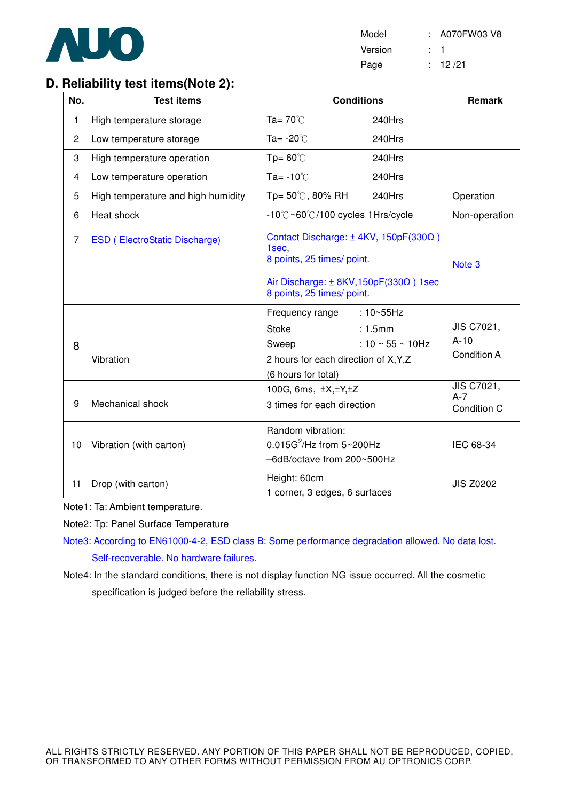

Model : A070FW03 V8 Version : 1 Page : 12/21

# **D. Reliability test items(Note 2):**

| No.            | <b>Test items</b>                    | <b>Conditions</b>                                                                                                                                           | Remark                                     |
|----------------|--------------------------------------|-------------------------------------------------------------------------------------------------------------------------------------------------------------|--------------------------------------------|
| 1              | High temperature storage             | Ta= $70^{\circ}$ C<br>240Hrs                                                                                                                                |                                            |
| $\overline{c}$ | Low temperature storage              | Ta= -20℃<br>240Hrs                                                                                                                                          |                                            |
| 3              | High temperature operation           | $Tp = 60^{\circ}$<br>240Hrs                                                                                                                                 |                                            |
| $\overline{4}$ | Low temperature operation            | Ta= $-10^{\circ}$ C<br>240Hrs                                                                                                                               |                                            |
| 5              | High temperature and high humidity   | Tp= 50℃, 80% RH<br>240Hrs                                                                                                                                   | Operation                                  |
| 6              | Heat shock                           | -10°C~60°C/100 cycles 1Hrs/cycle                                                                                                                            | Non-operation                              |
| $\overline{7}$ | <b>ESD (ElectroStatic Discharge)</b> | Contact Discharge: $\pm$ 4KV, 150pF(330 $\Omega$ )<br>1sec,<br>8 points, 25 times/ point.                                                                   | Note <sub>3</sub>                          |
|                |                                      | Air Discharge: $\pm$ 8KV, 150pF(330 $\Omega$ ) 1sec<br>8 points, 25 times/ point.                                                                           |                                            |
| 8              | Vibration                            | Frequency range : 10~55Hz<br><b>Stoke</b><br>: 1.5mm<br>: 10 $\sim$ 55 $\sim$ 10Hz<br>Sweep<br>2 hours for each direction of X, Y, Z<br>(6 hours for total) | JIS C7021,<br>$A-10$<br><b>Condition A</b> |
| 9              | Mechanical shock                     | 100G, 6ms, ±X, ±Y, ±Z<br>3 times for each direction                                                                                                         | JIS C7021,<br>$A-7$<br>Condition C         |
| 10             | Vibration (with carton)              | Random vibration:<br>$0.015G^2$ /Hz from $5 \sim 200Hz$<br>-6dB/octave from 200~500Hz                                                                       | IEC 68-34                                  |
| 11             | Drop (with carton)                   | Height: 60cm<br>1 corner, 3 edges, 6 surfaces                                                                                                               | <b>JIS Z0202</b>                           |

Note1: Ta: Ambient temperature.

Note2: Tp: Panel Surface Temperature

Note3: According to EN61000-4-2, ESD class B: Some performance degradation allowed. No data lost. Self-recoverable. No hardware failures.

Note4: In the standard conditions, there is not display function NG issue occurred. All the cosmetic specification is judged before the reliability stress.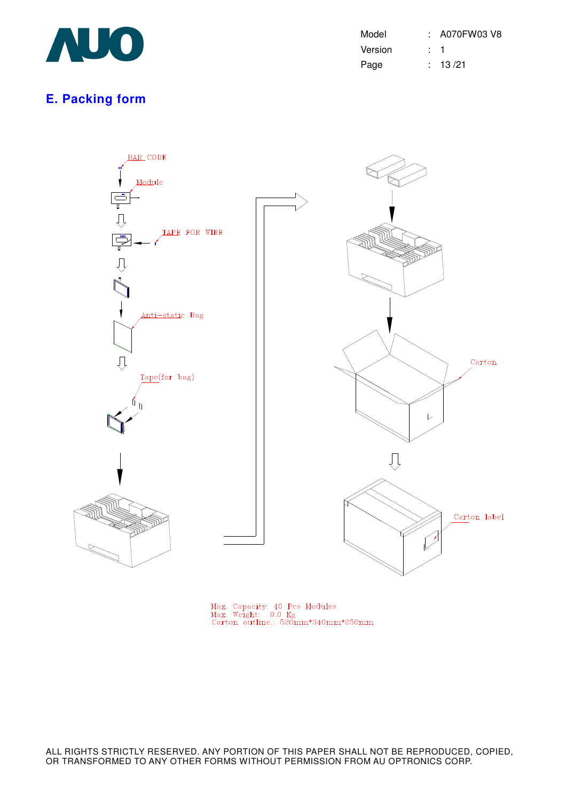

| Model   | : A070FW03 V8 |
|---------|---------------|
| Version |               |
| Page    | : 13/21       |

# **E. Packing form**



Max. Capacity: 40 Pcs Modules<br>Max. Weight: 9.0 Kg<br>Carton outline.: 520mm\*340mm\*250mm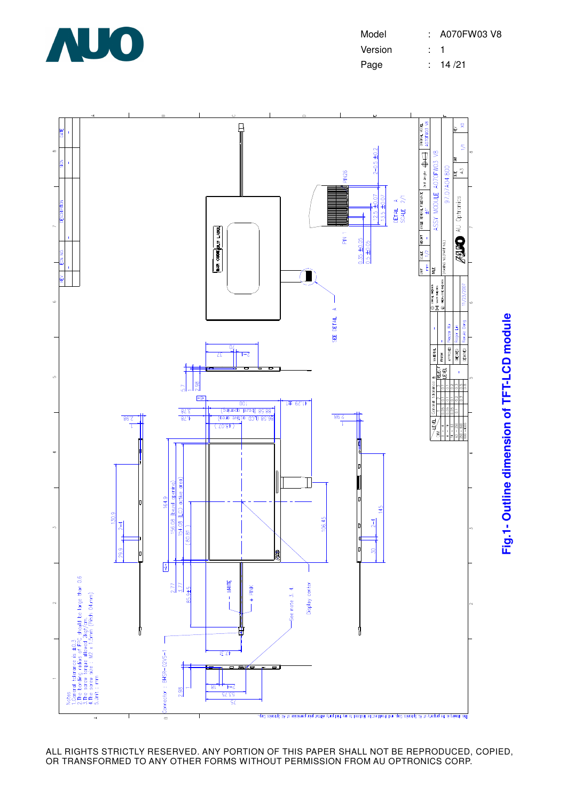

| Model   |     | : A070FW03 V8 |
|---------|-----|---------------|
| Version | . 1 |               |
| Page    |     | : 14/21       |

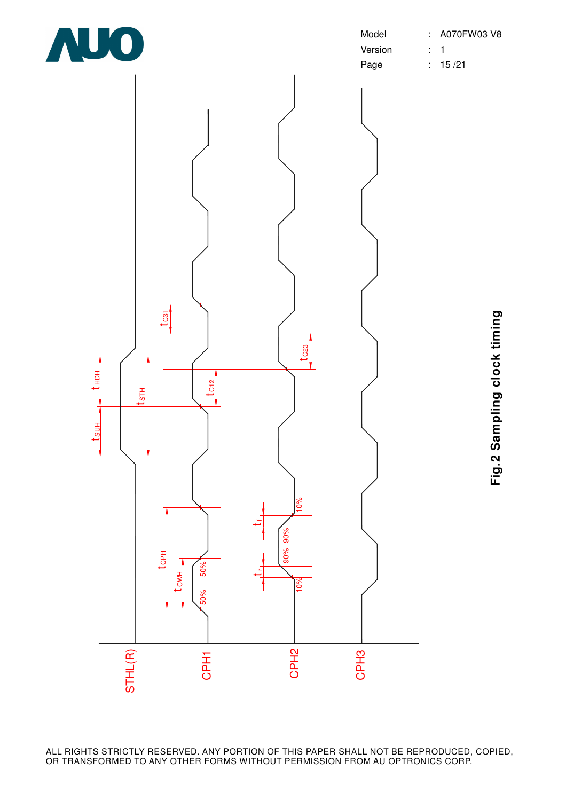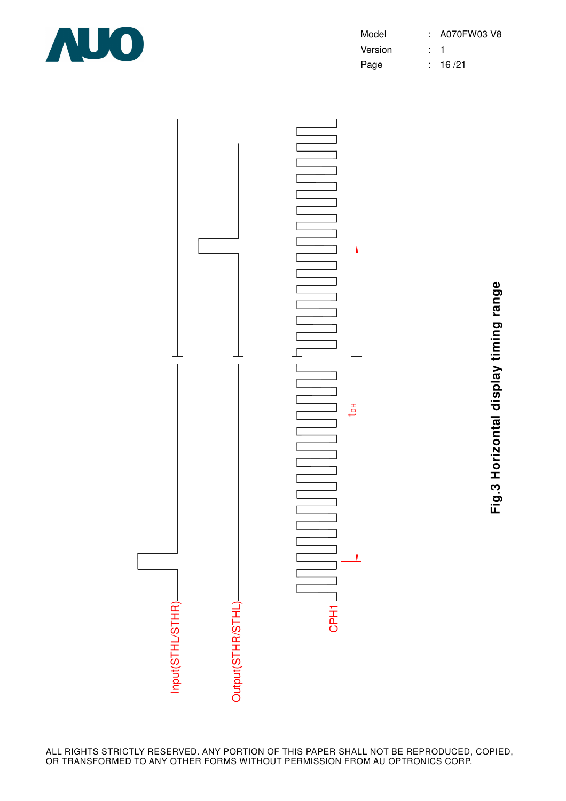

| Model   |           | : A070FW03 V8 |
|---------|-----------|---------------|
| Version | $\cdot$ 1 |               |
| Page    |           | : 16/21       |



**Fig.3 Horizontal display timing range** Fig.3 Horizontal display timing range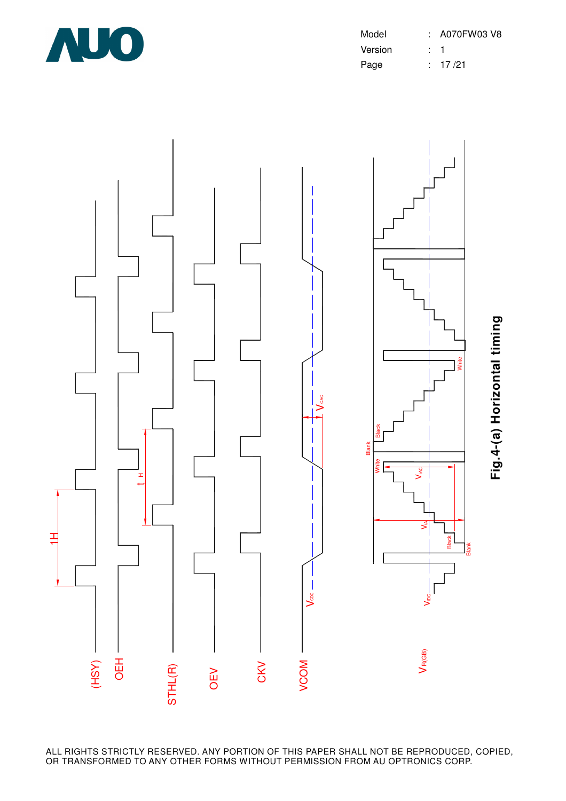

| Model   | : A070FW03 V8 |
|---------|---------------|
| Version |               |
| Page    | : 17/21       |

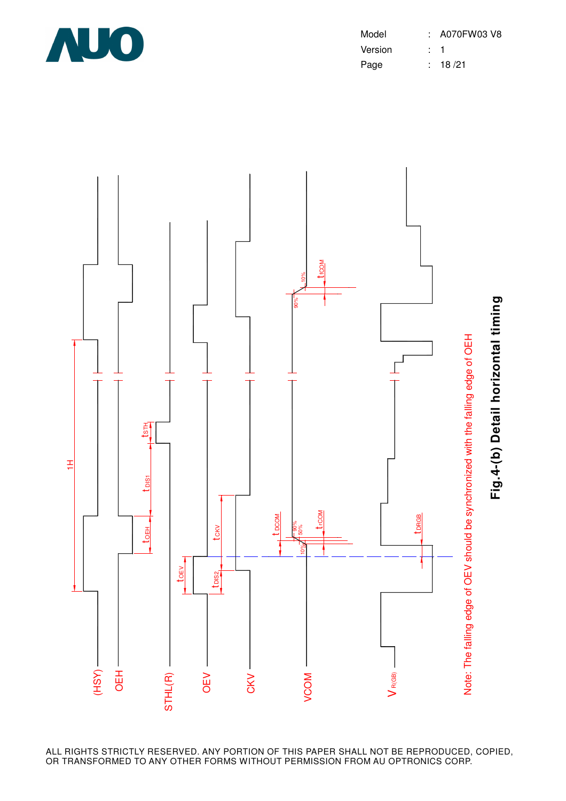

| Model   | : A070FW03 V8 |
|---------|---------------|
| Version |               |
| Page    | : 18/21       |

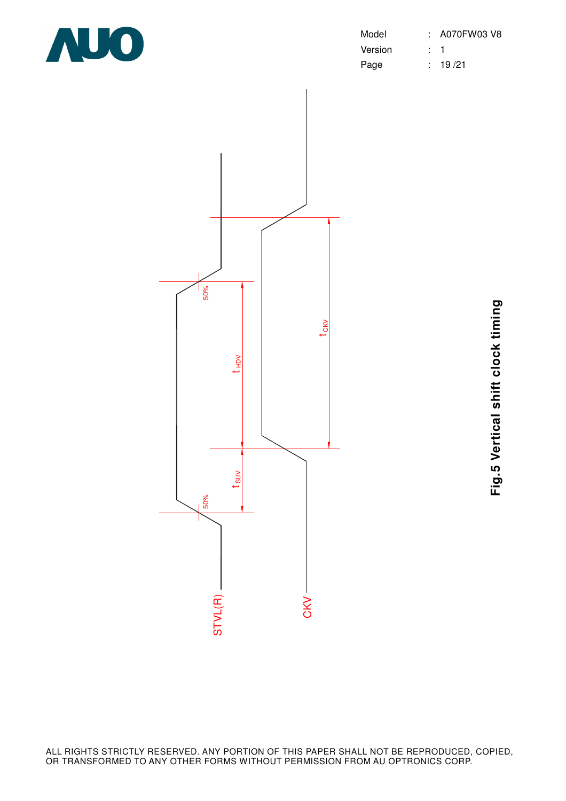

| Model   | $: A070$ FW03 V8 |
|---------|------------------|
| Version |                  |
| Page    | : 19/21          |



**Fig.5 Vertical shift clock timing** Fig.5 Vertical shift clock timing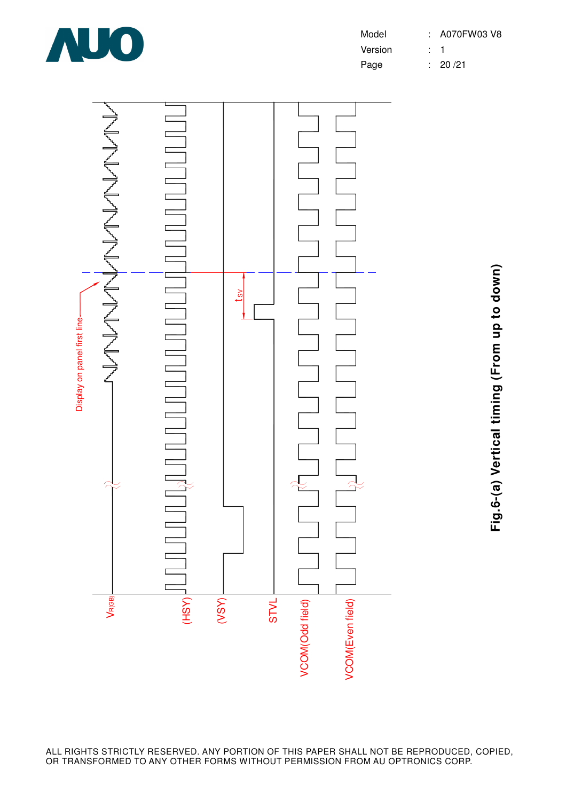

| Model   | : A070FW03 V8 |
|---------|---------------|
| Version |               |
| Page    | : 20/21       |





**Fig.6-(a) Vertical timing (From up to down)** Fig.6-(a) Vertical timing (From up to down)